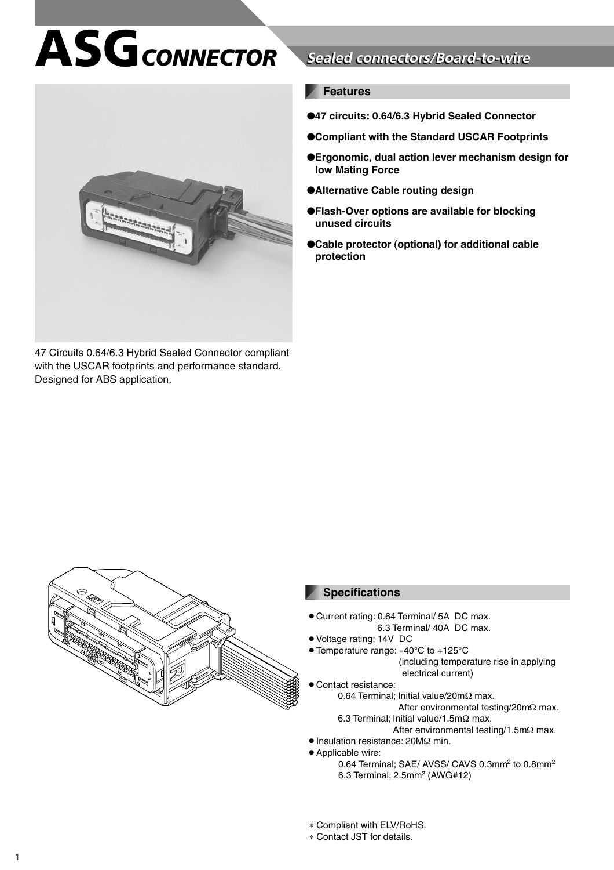# **ASG***CONNECTOR* **Sealed connectors/Board-to-wire Sealed connectors/Board-to-wire**



47 Circuits 0.64/6.3 Hybrid Sealed Connector compliant with the USCAR footprints and performance standard. Designed for ABS application.

#### **Features**

- ●**47 circuits: 0.64/6.3 Hybrid Sealed Connector**
- ●**Compliant with the Standard USCAR Footprints**
- ●**Ergonomic, dual action lever mechanism design for low Mating Force**
- ●**Alternative Cable routing design**
- ●**Flash-Over options are available for blocking unused circuits**
- ●**Cable protector (optional) for additional cable protection**



#### **Specifications**

- Current rating: 0.64 Terminal/ 5A DC max. 6.3 Terminal/ 40A DC max.
- Voltage rating: 14V DC
- Temperature range: -40°C to +125°C
	- (including temperature rise in applying electrical current)
- **Contact resistance:** 
	- 0.64 Terminal; Initial value/20mΩ max.
		- After environmental testing/20mΩ max. 6.3 Terminal; Initial value/1.5mΩ max.
			-
- After environmental testing/1.5mΩ max. • Insulation resistance: 20MΩ min.
- Applicable wire:
	- 0.64 Terminal; SAE/ AVSS/ CAVS 0.3mm<sup>2</sup> to 0.8mm<sup>2</sup> 6.3 Terminal; 2.5mm2 (AWG#12)
- ∗ Compliant with ELV/RoHS.
- ∗ Contact JST for details.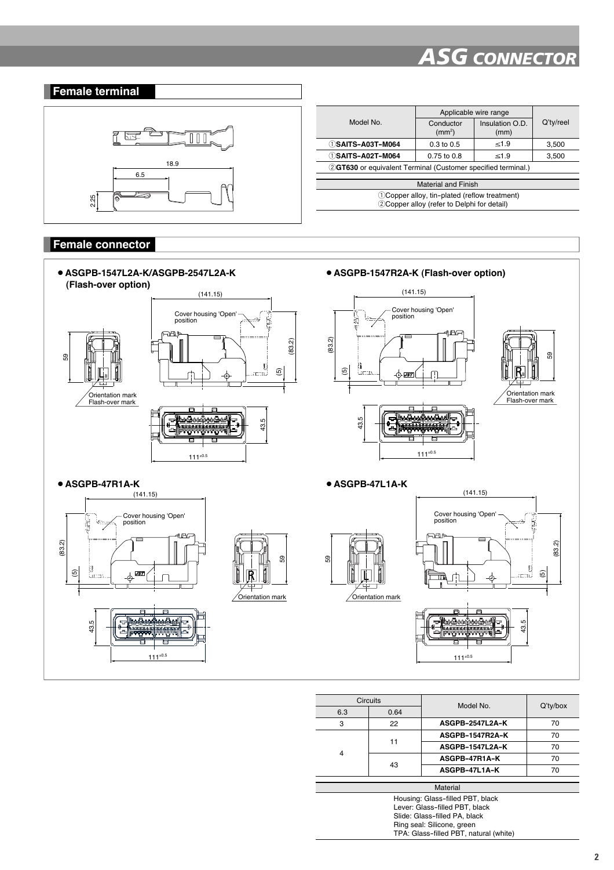

|                                                               | Applicable wire range           |                         |           |  |
|---------------------------------------------------------------|---------------------------------|-------------------------|-----------|--|
| Model No                                                      | Conductor<br>(mm <sup>2</sup> ) | Insulation O.D.<br>(mm) | Q'ty/reel |  |
| ①SAITS-A03T-M064                                              | $0.3 \text{ to } 0.5$           | $\leq 1.9$              | 3,500     |  |
| (1)SAITS-A02T-M064                                            | $0.75$ to $0.8$                 | $\leq 1.9$              | 3,500     |  |
| 2 GT630 or equivalent Terminal (Customer specified terminal.) |                                 |                         |           |  |
|                                                               |                                 |                         |           |  |
| <b>Material and Finish</b>                                    |                                 |                         |           |  |
| (1) Copper alloy, tin-plated (reflow treatment)               |                                 |                         |           |  |
| 2) Copper alloy (refer to Delphi for detail)                  |                                 |                         |           |  |
|                                                               |                                 |                         |           |  |

#### **Female connector**



|                                        | <b>Circuits</b> | Model No.              | $Q'$ ty/box |  |
|----------------------------------------|-----------------|------------------------|-------------|--|
| 6.3                                    | 0.64            |                        |             |  |
| 3                                      | 22              | <b>ASGPB-2547L2A-K</b> | 70          |  |
|                                        |                 | ASGPB-1547R2A-K        | 70          |  |
|                                        | 11              | <b>ASGPB-1547L2A-K</b> | 70          |  |
| 4                                      | 43              | ASGPB-47R1A-K          | 70          |  |
|                                        |                 | ASGPB-47L1A-K          | 70          |  |
|                                        |                 |                        |             |  |
|                                        |                 | Material               |             |  |
| Housing: Glass-filled PBT, black       |                 |                        |             |  |
| Lever: Glass-filled PBT, black         |                 |                        |             |  |
| Slide: Glass-filled PA, black          |                 |                        |             |  |
| Ring seal: Silicone, green             |                 |                        |             |  |
| TPA: Glass-filled PBT, natural (white) |                 |                        |             |  |